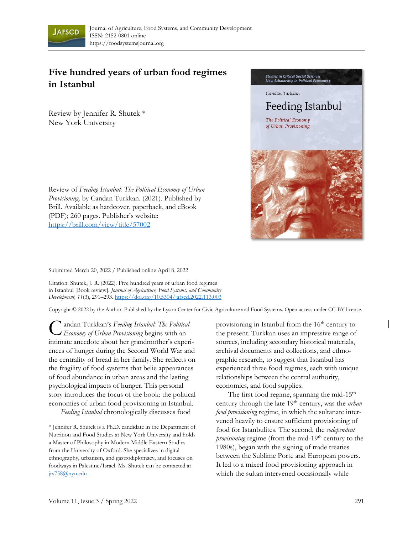

## **Five hundred years of urban food regimes in Istanbul**

Review by Jennifer R. Shutek \* New York University

Review of *Feeding Istanbul: The Political Economy of Urban Provisioning,* by Candan Turkkan. (2021). Published by Brill. Available as hardcover, paperback, and eBook (PDF); 260 pages. Publisher's website: <https://brill.com/view/title/57002>



Submitted March 20, 2022 / Published online April 8, 2022

Citation: Shutek, J. R. (2022). Five hundred years of urban food regimes in Istanbul [Book review]. *Journal of Agriculture, Food Systems, and Community Development, 11*(3), 291–293. [https://doi.org/10.5304/jafscd.2022.113.003](https://doi.org/10.5304/jafscd.2022.113.00)

Copyright © 2022 by the Author. Published by the Lyson Center for Civic Agriculture and Food Systems. Open access under CC-BY license.

andan Turkkan's *Feeding Istanbul: The Political Economy of Urban Provisioning* begins with an intimate anecdote about her grandmother's experiences of hunger during the Second World War and the centrality of bread in her family. She reflects on the fragility of food systems that belie appearances of food abundance in urban areas and the lasting psychological impacts of hunger. This personal story introduces the focus of the book: the political economies of urban food provisioning in Istanbul. *Feeding Istanbul* chronologically discusses food C

provisioning in Istanbul from the 16<sup>th</sup> century to the present. Turkkan uses an impressive range of sources, including secondary historical materials, archival documents and collections, and ethnographic research, to suggest that Istanbul has experienced three food regimes, each with unique relationships between the central authority, economics, and food supplies.

The first food regime, spanning the mid-15<sup>th</sup> century through the late 19<sup>th</sup> century, was the *urban food provisioning* regime, in which the sultanate intervened heavily to ensure sufficient provisioning of food for Istanbulites. The second, the *codependent provisioning* regime (from the mid-19<sup>th</sup> century to the 1980s), began with the signing of trade treaties between the Sublime Porte and European powers. It led to a mixed food provisioning approach in which the sultan intervened occasionally while

<sup>\*</sup> Jennifer R. Shutek is a Ph.D. candidate in the Department of Nutrition and Food Studies at New York University and holds a Master of Philosophy in Modern Middle Eastern Studies from the University of Oxford. She specializes in digital ethnography, urbanism, and gastrodiplomacy, and focuses on foodways in Palestine/Israel. Ms. Shutek can be contacted at [jrs758@nyu.edu](mailto:jrs758@nyu.edu)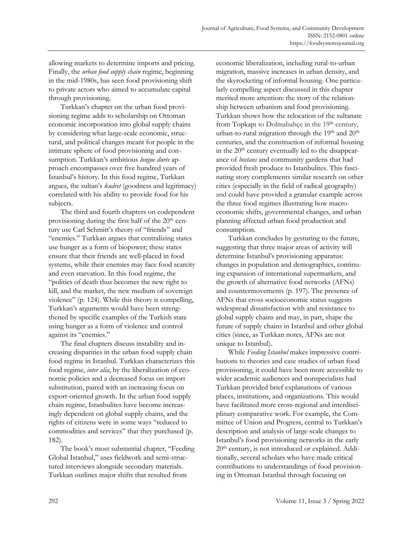allowing markets to determine imports and pricing. Finally, the *urban food supply chain* regime, beginning in the mid-1980s, has seen food provisioning shift to private actors who aimed to accumulate capital through provisioning.

Turkkan's chapter on the urban food provisioning regime adds to scholarship on Ottoman economic incorporation into global supply chains by considering what large-scale economic, structural, and political changes meant for people in the intimate sphere of food provisioning and consumption. Turkkan's ambitious *longue durée* approach encompasses over five hundred years of Istanbul's history. In this food regime, Turkkan argues, the sultan's *kudret* (goodness and legitimacy) correlated with his ability to provide food for his subjects.

The third and fourth chapters on codependent provisioning during the first half of the  $20<sup>th</sup>$  century use Carl Schmitt's theory of "friends" and "enemies." Turkkan argues that centralizing states use hunger as a form of biopower; these states ensure that their friends are well-placed in food systems, while their enemies may face food scarcity and even starvation. In this food regime, the "politics of death thus becomes the new right to kill, and the market, the new medium of sovereign violence" (p. 124). While this theory is compelling, Turkkan's arguments would have been strengthened by specific examples of the Turkish state using hunger as a form of violence and control against its "enemies."

The final chapters discuss instability and increasing disparities in the urban food supply chain food regime in Istanbul. Turkkan characterizes this food regime, *inter alia*, by the liberalization of economic policies and a decreased focus on import substitution, paired with an increasing focus on export-oriented growth. In the urban food supply chain regime, Istanbulites have become increasingly dependent on global supply chains, and the rights of citizens were in some ways "reduced to commodities and services" that they purchased (p. 182).

The book's most substantial chapter, "Feeding Global Istanbul," uses fieldwork and semi-structured interviews alongside secondary materials. Turkkan outlines major shifts that resulted from

economic liberalization, including rural-to-urban migration, massive increases in urban density, and the skyrocketing of informal housing. One particularly compelling aspect discussed in this chapter merited more attention: the story of the relationship between urbanism and food provisioning. Turkkan shows how the relocation of the sultanate from Topkapı to Dolmabahçe in the 19<sup>th</sup> century, urban-to-rural migration through the  $19<sup>th</sup>$  and  $20<sup>th</sup>$ centuries, and the construction of informal housing in the  $20<sup>th</sup>$  century eventually led to the disappearance of *bostans* and community gardens that had provided fresh produce to Istanbulites. This fascinating story complements similar research on other cities (especially in the field of radical geography) and could have provided a granular example across the three food regimes illustrating how macroeconomic shifts, governmental changes, and urban planning affected urban food production and consumption.

Turkkan concludes by gesturing to the future, suggesting that three major areas of activity will determine Istanbul's provisioning apparatus: changes in population and demographics, continuing expansion of international supermarkets, and the growth of alternative food networks (AFNs) and countermovements (p. 197). The presence of AFNs that cross socioeconomic status suggests widespread dissatisfaction with and resistance to global supply chains and may, in part, shape the future of supply chains in Istanbul and other global cities (since, as Turkkan notes, AFNs are not unique to Istanbul).

While *Feeding Istanbul* makes impressive contributions to theories and case studies of urban food provisioning, it could have been more accessible to wider academic audiences and nonspecialists had Turkkan provided brief explanations of various places, institutions, and organizations. This would have facilitated more cross-regional and interdisciplinary comparative work. For example, the Committee of Union and Progress, central to Turkkan's description and analysis of large-scale changes to Istanbul's food provisioning networks in the early 20<sup>th</sup> century, is not introduced or explained. Additionally, several scholars who have made critical contributions to understandings of food provisioning in Ottoman Istanbul through focusing on